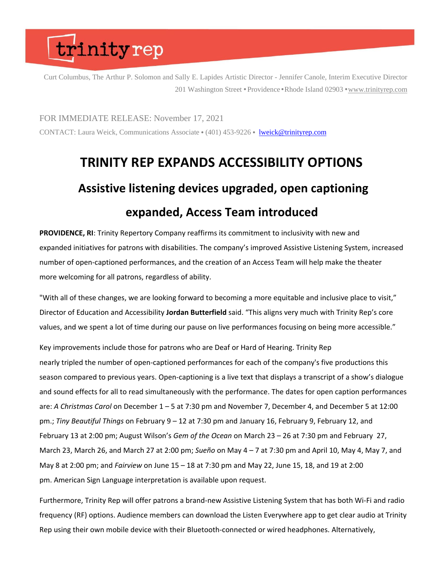## trinityrep

Curt Columbus, The Arthur P. Solomon and Sally E. Lapides Artistic Director - Jennifer Canole, Interim Executive Director 201 Washington Street • Providence • Rhode Island 02903 • [www.trinityrep.com](http://www.trinityrep.com/)

FOR IMMEDIATE RELEASE: November 17, 2021 CONTACT: Laura Weick, Communications Associate • (401) 453-9226 • [lweick@trinityrep.com](mailto:lweick@trinityrep.com)

#### **TRINITY REP EXPANDS ACCESSIBILITY OPTIONS Assistive listening devices upgraded, open captioning expanded, Access Team introduced**

**PROVIDENCE, RI**: Trinity Repertory Company reaffirms its commitment to inclusivity with new and expanded initiatives for patrons with disabilities. The company's improved Assistive Listening System, increased number of open-captioned performances, and the creation of an Access Team will help make the theater more welcoming for all patrons, regardless of ability.

"With all of these changes, we are looking forward to becoming a more equitable and inclusive place to visit," Director of Education and Accessibility **Jordan Butterfield** said. "This aligns very much with Trinity Rep's core values, and we spent a lot of time during our pause on live performances focusing on being more accessible."

Key improvements include those for patrons who are Deaf or Hard of Hearing. Trinity Rep nearly tripled the number of open-captioned performances for each of the company's five productions this season compared to previous years. Open-captioning is a live text that displays a transcript of a show's dialogue and sound effects for all to read simultaneously with the performance. The dates for open caption performances are: *A Christmas Carol* on December 1 – 5 at 7:30 pm and November 7, December 4, and December 5 at 12:00 pm.; *Tiny Beautiful Things* on February 9 – 12 at 7:30 pm and January 16, February 9, February 12, and February 13 at 2:00 pm; August Wilson's *Gem of the Ocean* on March 23 – 26 at 7:30 pm and February 27, March 23, March 26, and March 27 at 2:00 pm; *Sueño* on May 4 – 7 at 7:30 pm and April 10, May 4, May 7, and May 8 at 2:00 pm; and *Fairview* on June 15 – 18 at 7:30 pm and May 22, June 15, 18, and 19 at 2:00 pm. American Sign Language interpretation is available upon request.

Furthermore, Trinity Rep will offer patrons a brand-new Assistive Listening System that has both Wi-Fi and radio frequency (RF) options. Audience members can download the Listen Everywhere app to get clear audio at Trinity Rep using their own mobile device with their Bluetooth-connected or wired headphones. Alternatively,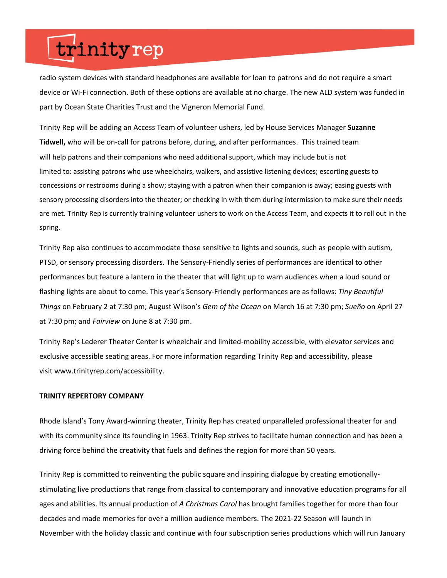## trinityrep

radio system devices with standard headphones are available for loan to patrons and do not require a smart device or Wi-Fi connection. Both of these options are available at no charge. The new ALD system was funded in part by Ocean State Charities Trust and the Vigneron Memorial Fund.

Trinity Rep will be adding an Access Team of volunteer ushers, led by House Services Manager **Suzanne Tidwell,** who will be on-call for patrons before, during, and after performances. This trained team will help patrons and their companions who need additional support, which may include but is not limited to: assisting patrons who use wheelchairs, walkers, and assistive listening devices; escorting guests to concessions or restrooms during a show; staying with a patron when their companion is away; easing guests with sensory processing disorders into the theater; or checking in with them during intermission to make sure their needs are met. Trinity Rep is currently training volunteer ushers to work on the Access Team, and expects it to roll out in the spring.

Trinity Rep also continues to accommodate those sensitive to lights and sounds, such as people with autism, PTSD, or sensory processing disorders. The Sensory-Friendly series of performances are identical to other performances but feature a lantern in the theater that will light up to warn audiences when a loud sound or flashing lights are about to come. This year's Sensory-Friendly performances are as follows: *Tiny Beautiful Things* on February 2 at 7:30 pm; August Wilson's *Gem of the Ocean* on March 16 at 7:30 pm; *Sueño* on April 27 at 7:30 pm; and *Fairview* on June 8 at 7:30 pm.

Trinity Rep's Lederer Theater Center is wheelchair and limited-mobility accessible, with elevator services and exclusive accessible seating areas. For more information regarding Trinity Rep and accessibility, please visit www.trinityrep.com/accessibility.

#### **TRINITY REPERTORY COMPANY**

Rhode Island's Tony Award-winning theater, Trinity Rep has created unparalleled professional theater for and with its community since its founding in 1963. Trinity Rep strives to facilitate human connection and has been a driving force behind the creativity that fuels and defines the region for more than 50 years.

Trinity Rep is committed to reinventing the public square and inspiring dialogue by creating emotionallystimulating live productions that range from classical to contemporary and innovative education programs for all ages and abilities. Its annual production of *A Christmas Carol* has brought families together for more than four decades and made memories for over a million audience members. The 2021-22 Season will launch in November with the holiday classic and continue with four subscription series productions which will run January